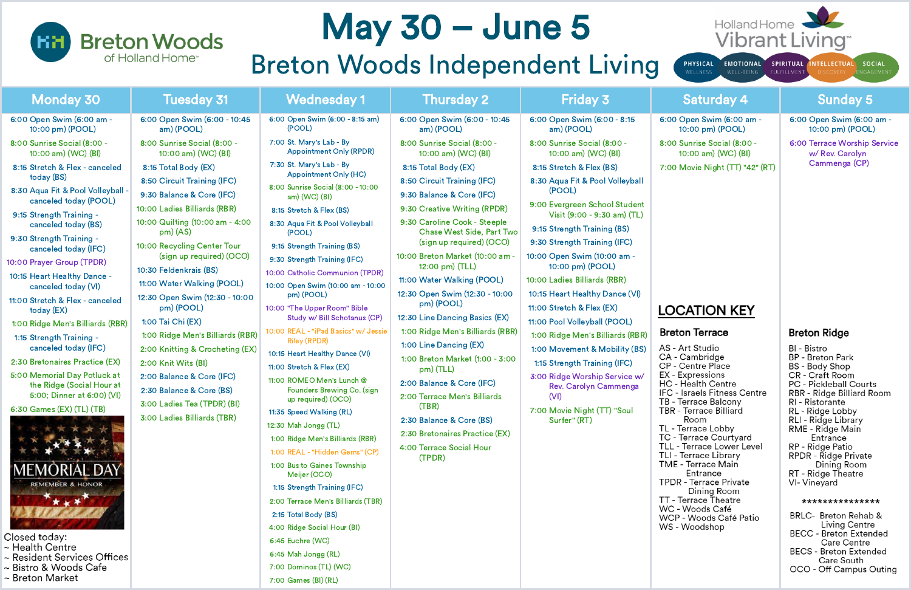## **Breton Woods** of Holland Home<sup>®</sup>

~ Breton Market

# May 30 – June 5 Breton Woods Independent Living

| <b>Monday 30</b>                                                                                                                                                                                                                                                                                                                                                                                                                                                                                                                                                           | <b>Tuesday 31</b>                                                                                                                                                                                                                                                                                                                                                                                                                                                                                                                                                              | <b>Wednesday 1</b>                                                                                                                                                                                                                                                                                                                                                                                                                                                                                                                                                                                    | <b>Thursday 2</b>                                                                                                                                                                                                                                                                                                                                                                                                                                                                                                                                                                                                                                                              | <b>Friday 3</b>                                                                                                                                                                                                                                                                                                                                                                                                                                                                                                                                                      | <b>Saturday 4</b>                                                                                                                                                                                                                                                                                                                                                                                                                                                                                                                                                         | Sunday 5                                                                                                                                                                                                                                                                                                                                                                                                                                                                                                                                                               |
|----------------------------------------------------------------------------------------------------------------------------------------------------------------------------------------------------------------------------------------------------------------------------------------------------------------------------------------------------------------------------------------------------------------------------------------------------------------------------------------------------------------------------------------------------------------------------|--------------------------------------------------------------------------------------------------------------------------------------------------------------------------------------------------------------------------------------------------------------------------------------------------------------------------------------------------------------------------------------------------------------------------------------------------------------------------------------------------------------------------------------------------------------------------------|-------------------------------------------------------------------------------------------------------------------------------------------------------------------------------------------------------------------------------------------------------------------------------------------------------------------------------------------------------------------------------------------------------------------------------------------------------------------------------------------------------------------------------------------------------------------------------------------------------|--------------------------------------------------------------------------------------------------------------------------------------------------------------------------------------------------------------------------------------------------------------------------------------------------------------------------------------------------------------------------------------------------------------------------------------------------------------------------------------------------------------------------------------------------------------------------------------------------------------------------------------------------------------------------------|----------------------------------------------------------------------------------------------------------------------------------------------------------------------------------------------------------------------------------------------------------------------------------------------------------------------------------------------------------------------------------------------------------------------------------------------------------------------------------------------------------------------------------------------------------------------|---------------------------------------------------------------------------------------------------------------------------------------------------------------------------------------------------------------------------------------------------------------------------------------------------------------------------------------------------------------------------------------------------------------------------------------------------------------------------------------------------------------------------------------------------------------------------|------------------------------------------------------------------------------------------------------------------------------------------------------------------------------------------------------------------------------------------------------------------------------------------------------------------------------------------------------------------------------------------------------------------------------------------------------------------------------------------------------------------------------------------------------------------------|
| 6:00 Open Swim (6:00 am -<br>10:00 pm) (POOL)                                                                                                                                                                                                                                                                                                                                                                                                                                                                                                                              | 6:00 Open Swim (6:00 - 10:45<br>am) (POOL)                                                                                                                                                                                                                                                                                                                                                                                                                                                                                                                                     | 6:00 Open Swim (6:00 - 8:15 am)<br>(POOL)                                                                                                                                                                                                                                                                                                                                                                                                                                                                                                                                                             | 6:00 Open Swim (6:00 - 10:45<br>am) (POOL)                                                                                                                                                                                                                                                                                                                                                                                                                                                                                                                                                                                                                                     | 6:00 Open Swim (6:00 - 8:15<br>am) (POOL)                                                                                                                                                                                                                                                                                                                                                                                                                                                                                                                            | 6:00 Open Swim (6:00 am -<br>10:00 pm) (POOL)                                                                                                                                                                                                                                                                                                                                                                                                                                                                                                                             | 6:00 Open Swim (6:00<br>10:00 pm) (POOL)                                                                                                                                                                                                                                                                                                                                                                                                                                                                                                                               |
| 8:00 Sunrise Social (8:00 -<br>10:00 am) (WC) (BI)                                                                                                                                                                                                                                                                                                                                                                                                                                                                                                                         | 8:00 Sunrise Social (8:00 -<br>10:00 am) (WC) (BI)                                                                                                                                                                                                                                                                                                                                                                                                                                                                                                                             | 7:00 St. Mary's Lab - By<br><b>Appointment Only (RPDR)</b>                                                                                                                                                                                                                                                                                                                                                                                                                                                                                                                                            | 8:00 Sunrise Social (8:00 -<br>10:00 am) (WC) (BI)                                                                                                                                                                                                                                                                                                                                                                                                                                                                                                                                                                                                                             | 8:00 Sunrise Social (8:00 -<br>10:00 am) (WC) (BI)                                                                                                                                                                                                                                                                                                                                                                                                                                                                                                                   | 8:00 Sunrise Social (8:00 -<br>10:00 am) (WC) (BI)                                                                                                                                                                                                                                                                                                                                                                                                                                                                                                                        | 6:00 Terrace Worship S<br>w/ Rev. Carolyn                                                                                                                                                                                                                                                                                                                                                                                                                                                                                                                              |
| 8:15 Stretch & Flex - canceled<br>today (BS)<br>8:30 Aqua Fit & Pool Volleyball -<br>canceled today (POOL)<br>9:15 Strength Training -<br>canceled today (BS)<br>9:30 Strength Training -<br>canceled today (IFC)<br>10:00 Prayer Group (TPDR)<br>10:15 Heart Healthy Dance -<br>canceled today (VI)<br>11:00 Stretch & Flex - canceled<br>today (EX)<br>1:00 Ridge Men's Billiards (RBR)<br>1:15 Strength Training -<br>canceled today (IFC)<br>2:30 Bretonaires Practice (EX)<br>5:00 Memorial Day Potluck at<br>the Ridge (Social Hour at<br>5:00; Dinner at 6:00) (VI) | 8:15 Total Body (EX)<br>8:50 Circuit Training (IFC)<br>9:30 Balance & Core (IFC)<br>10:00 Ladies Billiards (RBR)<br>10:00 Quilting (10:00 am - 4:00<br>$pm)$ (AS)<br>10:00 Recycling Center Tour<br>(sign up required) (OCO)<br>10:30 Feldenkrais (BS)<br>11:00 Water Walking (POOL)<br>12:30 Open Swim (12:30 - 10:00<br>pm) (POOL)<br>1:00 Tai Chi (EX)<br>1:00 Ridge Men's Billiards (RBR)<br>2:00 Knitting & Crocheting (EX)<br>2:00 Knit Wits (BI)<br>2:00 Balance & Core (IFC)<br>2:30 Balance & Core (BS)<br>3:00 Ladies Tea (TPDR) (BI)<br>3:00 Ladies Billiards (TBR) | 7:30 St. Mary's Lab - By<br><b>Appointment Only (HC)</b><br>8:00 Sunrise Social (8:00 - 10:00<br>am) (WC) (BI)<br>8:15 Stretch & Flex (BS)<br>8:30 Aqua Fit & Pool Volleyball<br>(POOL)<br>9:15 Strength Training (BS)<br>9:30 Strength Training (IFC)<br>10:00 Catholic Communion (TPDR)<br>10:00 Open Swim (10:00 am - 10:00<br>pm) (POOL)<br>10:00 "The Upper Room" Bible<br>Study w/ Bill Schotanus (CP)<br>10:00 REAL - "iPad Basics" w/ Jessie<br><b>Riley (RPDR)</b><br>10:15 Heart Healthy Dance (VI)<br>11:00 Stretch & Flex (EX)<br>11:00 ROMEO Men's Lunch @<br>Founders Brewing Co. (sign | 8:15 Total Body (EX)<br>8:50 Circuit Training (IFC)<br>9:30 Balance & Core (IFC)<br>9:30 Creative Writing (RPDR)<br>9:30 Caroline Cook - Steeple<br><b>Chase West Side, Part Two</b><br>(sign up required) (OCO)<br>10:00 Breton Market (10:00 am -<br>12:00 pm) (TLL)<br>11:00 Water Walking (POOL)<br>12:30 Open Swim (12:30 - 10:00<br>pm) (POOL)<br>12:30 Line Dancing Basics (EX)<br>1:00 Ridge Men's Billiards (RBR)<br>1:00 Line Dancing (EX)<br>1:00 Breton Market (1:00 - 3:00<br>pm) (TLL)<br>2:00 Balance & Core (IFC)<br>2:00 Terrace Men's Billiards<br>(TBR)<br>2:30 Balance & Core (BS)<br>2:30 Bretonaires Practice (EX)<br>4:00 Terrace Social Hour<br>(TPDR) | 8:15 Stretch & Flex (BS)<br>8:30 Aqua Fit & Pool Volleyball<br>(POOL)<br>9:00 Evergreen School Student<br>Visit (9:00 - 9:30 am) (TL)<br>9:15 Strength Training (BS)<br>9:30 Strength Training (IFC)<br>10:00 Open Swim (10:00 am -<br>10:00 pm) (POOL)<br>10:00 Ladies Billiards (RBR)<br>10:15 Heart Healthy Dance (VI)<br>11:00 Stretch & Flex (EX)<br>11:00 Pool Volleyball (POOL)<br>1:00 Ridge Men's Billiards (RBR)<br>1:00 Movement & Mobility (BS)<br>1:15 Strength Training (IFC)<br>3:00 Ridge Worship Service w/<br><b>Rev. Carolyn Cammenga</b><br>(VI) | 7:00 Movie Night (TT) "42" (RT)<br><b>LOCATION KEY</b><br><b>Breton Terrace</b><br>AS - Art Studio<br>CA - Cambridge<br><b>CP</b> - Centre Place<br>EX - Expressions<br><b>HC</b> - Health Centre<br>IFC - Israels Fitness Centre<br>TB - Terrace Balcony<br>TBR - Terrace Billiard<br>Room<br>TL - Terrace Lobby<br>TC - Terrace Courtyard<br>TLL - Terrace Lower Level<br>TLI - Terrace Library<br>TME - Terrace Main<br>Entrance<br><b>TPDR</b> - Terrace Private<br>Dining Room<br>TT - Terrace Theatre<br>WC - Woods Café<br>WCP - Woods Café Patio<br>WS - Woodshop | Cammenga (CP)<br><b>Breton Ridge</b><br>BI - Bistro<br><b>BP</b> - Breton Park<br>BS - Body Shop<br><b>CR</b> - Craft Room<br><b>PC - Pickleball Courts</b><br>RBR - Ridge Billiard Ro<br>RI - Ristorante<br>RL - Ridge Lobby<br>RLI - Ridge Library<br>RME - Ridge Main<br>Entrance<br>RP - Ridge Patio<br>RPDR - Ridge Private<br>Dining Room<br>RT - Ridge Theatre<br>VI- Vineyard<br>**************<br><b>BRLC- Breton Rehab</b><br>Living Centre<br><b>BECC - Breton Extend</b><br>Care Centre<br><b>BECS - Breton Extend</b><br>Care South<br>OCO - Off Campus O |
| 6:30 Games (EX) (TL) (TB)<br><b>MEMORIAL DAY</b><br><b>REMEMBER &amp; HONOR</b><br>***<br>Closed today:<br>~ Health Centre<br>~ Resident Services Offices<br>~ Bistro & Woods Cafe                                                                                                                                                                                                                                                                                                                                                                                         |                                                                                                                                                                                                                                                                                                                                                                                                                                                                                                                                                                                | up required) (OCO)<br>11:35 Speed Walking (RL)<br>12:30 Mah Jongg (TL)<br>1:00 Ridge Men's Billiards (RBR)<br>1:00 REAL - "Hidden Gems" (CP)<br>1:00 Bus to Gaines Township<br>Meijer (OCO)<br>1:15 Strength Training (IFC)<br>2:00 Terrace Men's Billiards (TBR)<br>2:15 Total Body (BS)<br>4:00 Ridge Social Hour (BI)<br>6:45 Euchre (WC)<br>6:45 Mah Jongg (RL)<br>7:00 Dominos (TL) (WC)                                                                                                                                                                                                         |                                                                                                                                                                                                                                                                                                                                                                                                                                                                                                                                                                                                                                                                                | 7:00 Movie Night (TT) "Soul<br>Surfer" (RT)                                                                                                                                                                                                                                                                                                                                                                                                                                                                                                                          |                                                                                                                                                                                                                                                                                                                                                                                                                                                                                                                                                                           |                                                                                                                                                                                                                                                                                                                                                                                                                                                                                                                                                                        |

- 8:00 Sunrise Social (8:00 10:00 am) (WC) (BI)
- 00 Movie Night (TT) "42" (RT)

7:00 Games (BI) (RL)



**WELLNESS** 

WELL-BEING FULFILLMENT

PHYSICAL EMOTIONAL SPIRITUAL INTELLECTUAL SOCIAL

6:00 Open Swim (6:00 am - 10:00 pm) (POOL)

6:00 Terrace Worship Service w/ Rev. Carolyn Cammenga (CP)

## **DCATION KEY**

## eton Terrace

## **Breton Ridge**

BI - Bistro **BP** - Breton Park BS - Body Shop CR - Craft Room **PC - Pickleball Courts** RBR - Ridge Billiard Room RI - Ristorante RL - Ridge Lobby RLI - Ridge Library RME - Ridge Main Entrance RP - Ridge Patio RPDR - Ridge Private Dining Room RT - Ridge Theatre VI- Vineyard

### \*\*\*\*\*\*\*\*\*\*\*\*\*\*\*

| BRLC- Breton Rehab &          |
|-------------------------------|
| Living Centre                 |
| BECC - Breton Extended        |
| <b>Care Centre</b>            |
| <b>BECS - Breton Extended</b> |
| Care South                    |
| OCO - Off Campus Outing       |
|                               |